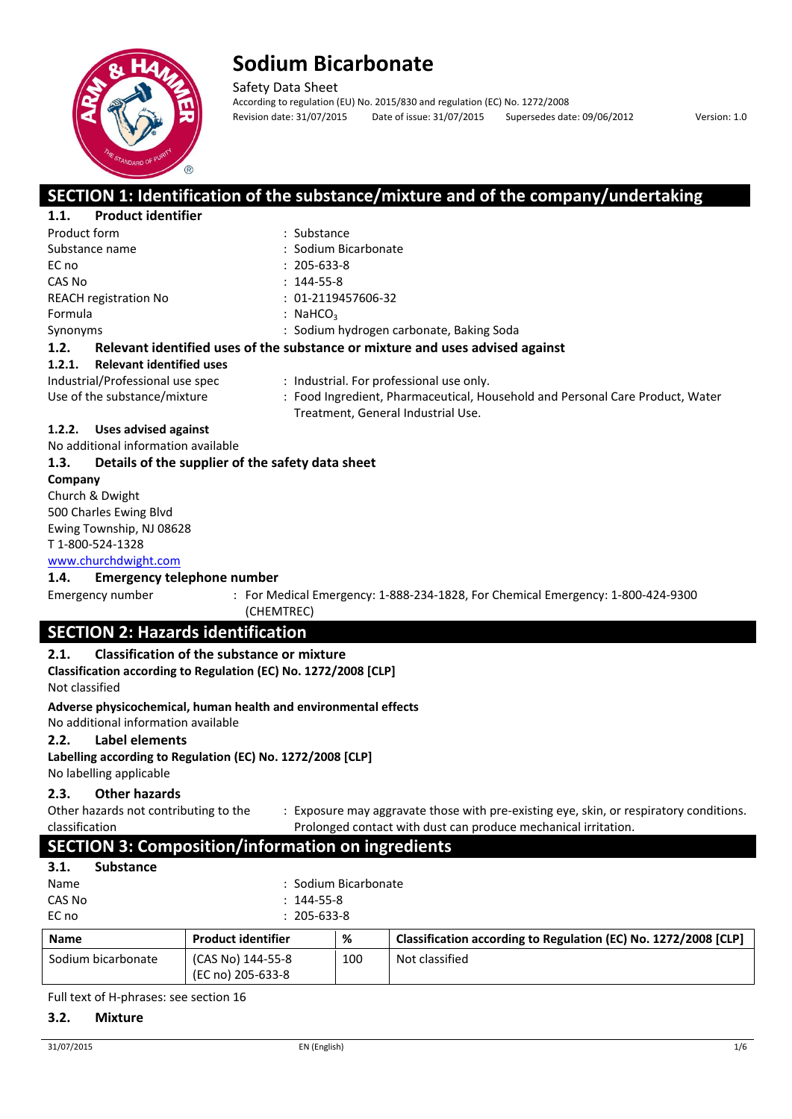

Safety Data Sheet According to regulation (EU) No. 2015/830 and regulation (EC) No. 1272/2008 Revision date: 31/07/2015 Date of issue: 31/07/2015 Supersedes date: 09/06/2012 Version: 1.0

## **SECTION 1: Identification of the substance/mixture and of the company/undertaking**

| <b>Product identifier</b><br>1.1.         |                                                                                                                     |
|-------------------------------------------|---------------------------------------------------------------------------------------------------------------------|
| Product form                              | : Substance                                                                                                         |
| Substance name                            | : Sodium Bicarbonate                                                                                                |
| EC no                                     | $: 205 - 633 - 8$                                                                                                   |
| CAS No                                    | $: 144 - 55 - 8$                                                                                                    |
| <b>REACH registration No</b>              | $: 01 - 2119457606 - 32$                                                                                            |
| Formula                                   | : NaHCO <sub>3</sub>                                                                                                |
| Synonyms                                  | : Sodium hydrogen carbonate, Baking Soda                                                                            |
| 1.2.                                      | Relevant identified uses of the substance or mixture and uses advised against                                       |
| <b>Relevant identified uses</b><br>1.2.1. |                                                                                                                     |
| Industrial/Professional use spec          | : Industrial. For professional use only.                                                                            |
| Use of the substance/mixture              | : Food Ingredient, Pharmaceutical, Household and Personal Care Product, Water<br>Treatment, General Industrial Use. |

#### **1.2.2. Uses advised against**

No additional information available

#### **1.3. Details of the supplier of the safety data sheet**

**Company**  Church & Dwight 500 Charles Ewing Blvd Ewing Township, NJ 08628 T 1-800-524-1328

## www.churchdwight.com

**1.4. Emergency telephone number**

Emergency number : For Medical Emergency: 1-888-234-1828, For Chemical Emergency: 1-800-424-9300 (CHEMTREC)

## **SECTION 2: Hazards identification**

#### **2.1. Classification of the substance or mixture**

**Classification according to Regulation (EC) No. 1272/2008 [CLP]** Not classified

#### **Adverse physicochemical, human health and environmental effects** No additional information available

**2.2. Label elements**

#### **Labelling according to Regulation (EC) No. 1272/2008 [CLP]** No labelling applicable

#### **2.3. Other hazards**

Other hazards not contributing to the classification

: Exposure may aggravate those with pre-existing eye, skin, or respiratory conditions. Prolonged contact with dust can produce mechanical irritation.

## **SECTION 3: Composition/information on ingredients**

| 3.1. | <b>Substance</b> |
|------|------------------|
| Name |                  |

- : Sodium Bicarbonate CAS No : 144-55-8
- EC no : 205-633-8

| <b>Name</b>        | <b>Product identifier</b>              | %   | Classification according to Regulation (EC) No. 1272/2008 [CLP] |
|--------------------|----------------------------------------|-----|-----------------------------------------------------------------|
| Sodium bicarbonate | (CAS No) 144-55-8<br>(EC no) 205-633-8 | 100 | Not classified                                                  |

Full text of H-phrases: see section 16

#### **3.2. Mixture**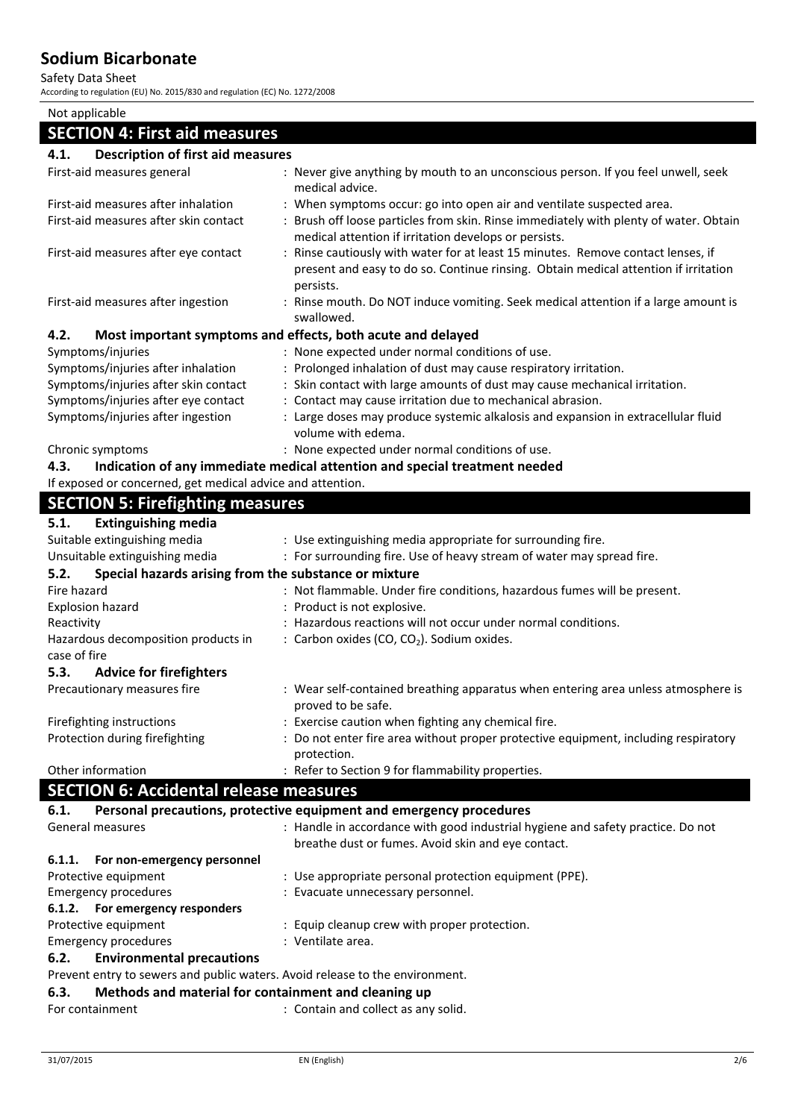Safety Data Sheet

According to regulation (EU) No. 2015/830 and regulation (EC) No. 1272/2008

| Not applicable                                                                                                           |                                                                                     |
|--------------------------------------------------------------------------------------------------------------------------|-------------------------------------------------------------------------------------|
| <b>SECTION 4: First aid measures</b>                                                                                     |                                                                                     |
| <b>Description of first aid measures</b><br>4.1.                                                                         |                                                                                     |
| First-aid measures general                                                                                               | : Never give anything by mouth to an unconscious person. If you feel unwell, seek   |
|                                                                                                                          | medical advice.                                                                     |
| First-aid measures after inhalation                                                                                      | : When symptoms occur: go into open air and ventilate suspected area.               |
| First-aid measures after skin contact                                                                                    | Brush off loose particles from skin. Rinse immediately with plenty of water. Obtain |
|                                                                                                                          | medical attention if irritation develops or persists.                               |
| First-aid measures after eye contact                                                                                     | Rinse cautiously with water for at least 15 minutes. Remove contact lenses, if      |
|                                                                                                                          | present and easy to do so. Continue rinsing. Obtain medical attention if irritation |
|                                                                                                                          | persists.                                                                           |
| First-aid measures after ingestion                                                                                       | : Rinse mouth. Do NOT induce vomiting. Seek medical attention if a large amount is  |
|                                                                                                                          | swallowed.                                                                          |
| 4.2.                                                                                                                     | Most important symptoms and effects, both acute and delayed                         |
| Symptoms/injuries                                                                                                        | : None expected under normal conditions of use.                                     |
| Symptoms/injuries after inhalation                                                                                       | Prolonged inhalation of dust may cause respiratory irritation.                      |
| Symptoms/injuries after skin contact                                                                                     | : Skin contact with large amounts of dust may cause mechanical irritation.          |
| Symptoms/injuries after eye contact                                                                                      | : Contact may cause irritation due to mechanical abrasion.                          |
| Symptoms/injuries after ingestion                                                                                        | : Large doses may produce systemic alkalosis and expansion in extracellular fluid   |
|                                                                                                                          | volume with edema.                                                                  |
| Chronic symptoms                                                                                                         | : None expected under normal conditions of use.                                     |
| 4.3.                                                                                                                     | Indication of any immediate medical attention and special treatment needed          |
| If exposed or concerned, get medical advice and attention.                                                               |                                                                                     |
| <b>SECTION 5: Firefighting measures</b>                                                                                  |                                                                                     |
|                                                                                                                          |                                                                                     |
| 5.1.<br><b>Extinguishing media</b>                                                                                       |                                                                                     |
| Suitable extinguishing media                                                                                             | : Use extinguishing media appropriate for surrounding fire.                         |
| Unsuitable extinguishing media                                                                                           | : For surrounding fire. Use of heavy stream of water may spread fire.               |
| Special hazards arising from the substance or mixture<br>5.2.                                                            |                                                                                     |
| Fire hazard                                                                                                              | : Not flammable. Under fire conditions, hazardous fumes will be present.            |
| <b>Explosion hazard</b>                                                                                                  | Product is not explosive.                                                           |
| Reactivity                                                                                                               | Hazardous reactions will not occur under normal conditions.                         |
| Hazardous decomposition products in                                                                                      | : Carbon oxides (CO, CO <sub>2</sub> ). Sodium oxides.                              |
| case of fire                                                                                                             |                                                                                     |
| 5.3.<br><b>Advice for firefighters</b>                                                                                   |                                                                                     |
| Precautionary measures fire                                                                                              | : Wear self-contained breathing apparatus when entering area unless atmosphere is   |
|                                                                                                                          | proved to be safe.                                                                  |
| Firefighting instructions                                                                                                | : Exercise caution when fighting any chemical fire.                                 |
| Protection during firefighting                                                                                           | : Do not enter fire area without proper protective equipment, including respiratory |
| Other information                                                                                                        | protection.<br>: Refer to Section 9 for flammability properties.                    |
|                                                                                                                          |                                                                                     |
| <b>SECTION 6: Accidental release measures</b>                                                                            |                                                                                     |
| 6.1.                                                                                                                     | Personal precautions, protective equipment and emergency procedures                 |
| General measures                                                                                                         | : Handle in accordance with good industrial hygiene and safety practice. Do not     |
|                                                                                                                          | breathe dust or fumes. Avoid skin and eye contact.                                  |
| 6.1.1.<br>For non-emergency personnel                                                                                    |                                                                                     |
| Protective equipment                                                                                                     | : Use appropriate personal protection equipment (PPE).                              |
| <b>Emergency procedures</b>                                                                                              | : Evacuate unnecessary personnel.                                                   |
| 6.1.2. For emergency responders                                                                                          |                                                                                     |
| Protective equipment                                                                                                     | : Equip cleanup crew with proper protection.                                        |
| <b>Emergency procedures</b>                                                                                              | : Ventilate area.                                                                   |
| <b>Environmental precautions</b><br>6.2.<br>Prevent entry to sewers and public waters. Avoid release to the environment. |                                                                                     |
|                                                                                                                          |                                                                                     |

### **6.3. Methods and material for containment and cleaning up**

For containment : Contain and collect as any solid.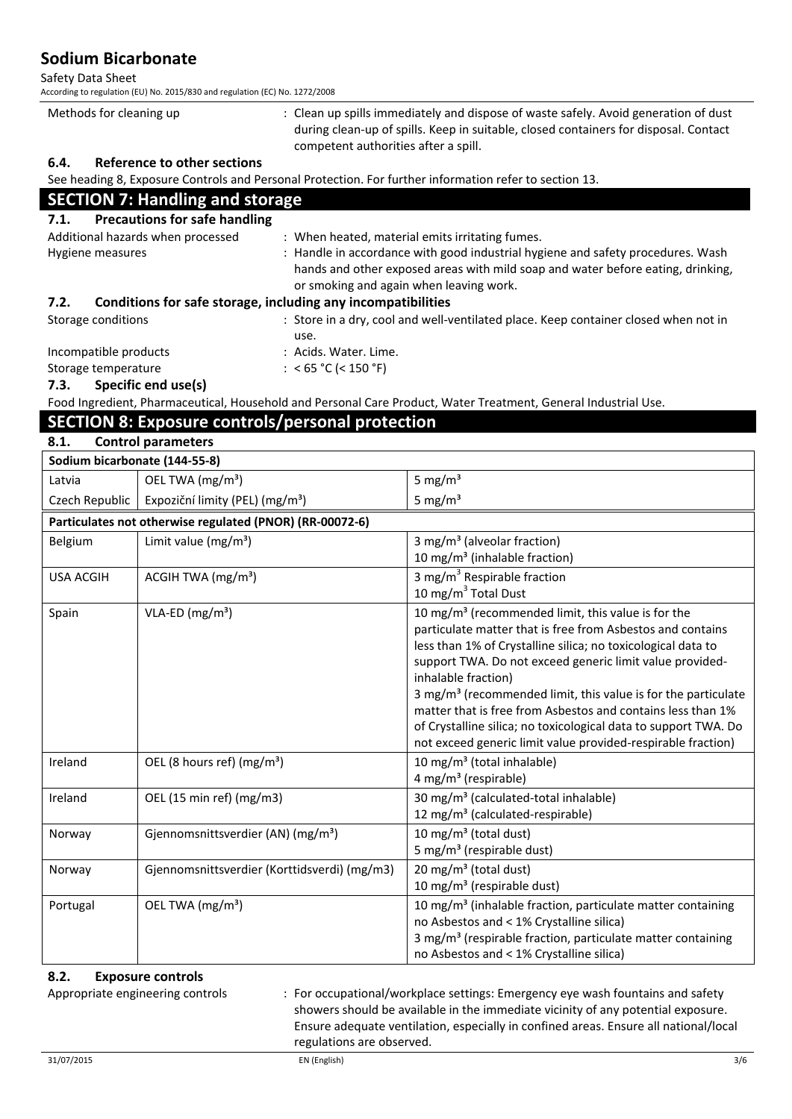Safety Data Sheet

According to regulation (EU) No. 2015/830 and regulation (EC) No. 1272/2008

| Methods for cleaning up | : Clean up spills immediately and dispose of waste safely. Avoid generation of dust  |
|-------------------------|--------------------------------------------------------------------------------------|
|                         | during clean-up of spills. Keep in suitable, closed containers for disposal. Contact |
|                         | competent authorities after a spill.                                                 |
| - -                     |                                                                                      |

#### **6.4. Reference to other sections**

See heading 8, Exposure Controls and Personal Protection. For further information refer to section 13.

## **SECTION 7: Handling and storage**

| <b>Precautions for safe handling</b><br>7.1.                         |                                                                                                                                                                                                               |  |
|----------------------------------------------------------------------|---------------------------------------------------------------------------------------------------------------------------------------------------------------------------------------------------------------|--|
| Additional hazards when processed                                    | : When heated, material emits irritating fumes.                                                                                                                                                               |  |
| Hygiene measures                                                     | : Handle in accordance with good industrial hygiene and safety procedures. Wash<br>hands and other exposed areas with mild soap and water before eating, drinking,<br>or smoking and again when leaving work. |  |
| Conditions for safe storage, including any incompatibilities<br>7.2. |                                                                                                                                                                                                               |  |
| Storage conditions                                                   | : Store in a dry, cool and well-ventilated place. Keep container closed when not in<br>use.                                                                                                                   |  |
| Incompatible products                                                | : Acids. Water. Lime.                                                                                                                                                                                         |  |

#### Storage temperature : <65 °C (<150 °F)

**7.3. Specific end use(s)**

Food Ingredient, Pharmaceutical, Household and Personal Care Product, Water Treatment, General Industrial Use.

## **SECTION 8: Exposure controls/personal protection**

#### **8.1. Control parameters**

| Sodium bicarbonate (144-55-8) |                                                          |                                                                                                                                                                                                                                                                                                                                                                                                                                                                                                                                                                |
|-------------------------------|----------------------------------------------------------|----------------------------------------------------------------------------------------------------------------------------------------------------------------------------------------------------------------------------------------------------------------------------------------------------------------------------------------------------------------------------------------------------------------------------------------------------------------------------------------------------------------------------------------------------------------|
| Latvia                        | OEL TWA (mg/m <sup>3</sup> )                             | 5 mg/ $m3$                                                                                                                                                                                                                                                                                                                                                                                                                                                                                                                                                     |
| Czech Republic                | Expoziční limity (PEL) (mg/m <sup>3</sup> )              | 5 mg/ $m3$                                                                                                                                                                                                                                                                                                                                                                                                                                                                                                                                                     |
|                               | Particulates not otherwise regulated (PNOR) (RR-00072-6) |                                                                                                                                                                                                                                                                                                                                                                                                                                                                                                                                                                |
| Belgium                       | Limit value $(mg/m^3)$                                   | 3 mg/m <sup>3</sup> (alveolar fraction)<br>10 mg/m <sup>3</sup> (inhalable fraction)                                                                                                                                                                                                                                                                                                                                                                                                                                                                           |
| <b>USA ACGIH</b>              | ACGIH TWA $(mg/m3)$                                      | 3 mg/m <sup>3</sup> Respirable fraction<br>10 mg/m $3$ Total Dust                                                                                                                                                                                                                                                                                                                                                                                                                                                                                              |
| Spain                         | $VLA-ED (mg/m3)$                                         | 10 mg/m <sup>3</sup> (recommended limit, this value is for the<br>particulate matter that is free from Asbestos and contains<br>less than 1% of Crystalline silica; no toxicological data to<br>support TWA. Do not exceed generic limit value provided-<br>inhalable fraction)<br>3 mg/m <sup>3</sup> (recommended limit, this value is for the particulate<br>matter that is free from Asbestos and contains less than 1%<br>of Crystalline silica; no toxicological data to support TWA. Do<br>not exceed generic limit value provided-respirable fraction) |
| Ireland                       | OEL (8 hours ref) (mg/m <sup>3</sup> )                   | 10 mg/m <sup>3</sup> (total inhalable)<br>4 mg/m <sup>3</sup> (respirable)                                                                                                                                                                                                                                                                                                                                                                                                                                                                                     |
| Ireland                       | OEL (15 min ref) (mg/m3)                                 | 30 mg/m <sup>3</sup> (calculated-total inhalable)<br>12 mg/m <sup>3</sup> (calculated-respirable)                                                                                                                                                                                                                                                                                                                                                                                                                                                              |
| Norway                        | Gjennomsnittsverdier (AN) (mg/m <sup>3</sup> )           | 10 mg/m <sup>3</sup> (total dust)<br>5 mg/m <sup>3</sup> (respirable dust)                                                                                                                                                                                                                                                                                                                                                                                                                                                                                     |
| Norway                        | Gjennomsnittsverdier (Korttidsverdi) (mg/m3)             | 20 mg/m <sup>3</sup> (total dust)<br>10 mg/m <sup>3</sup> (respirable dust)                                                                                                                                                                                                                                                                                                                                                                                                                                                                                    |
| Portugal                      | OEL TWA (mg/m <sup>3</sup> )                             | 10 mg/m <sup>3</sup> (inhalable fraction, particulate matter containing<br>no Asbestos and < 1% Crystalline silica)<br>3 mg/m <sup>3</sup> (respirable fraction, particulate matter containing<br>no Asbestos and < 1% Crystalline silica)                                                                                                                                                                                                                                                                                                                     |

#### **8.2. Exposure controls**

Appropriate engineering controls : For occupational/workplace settings: Emergency eye wash fountains and safety showers should be available in the immediate vicinity of any potential exposure. Ensure adequate ventilation, especially in confined areas. Ensure all national/local regulations are observed.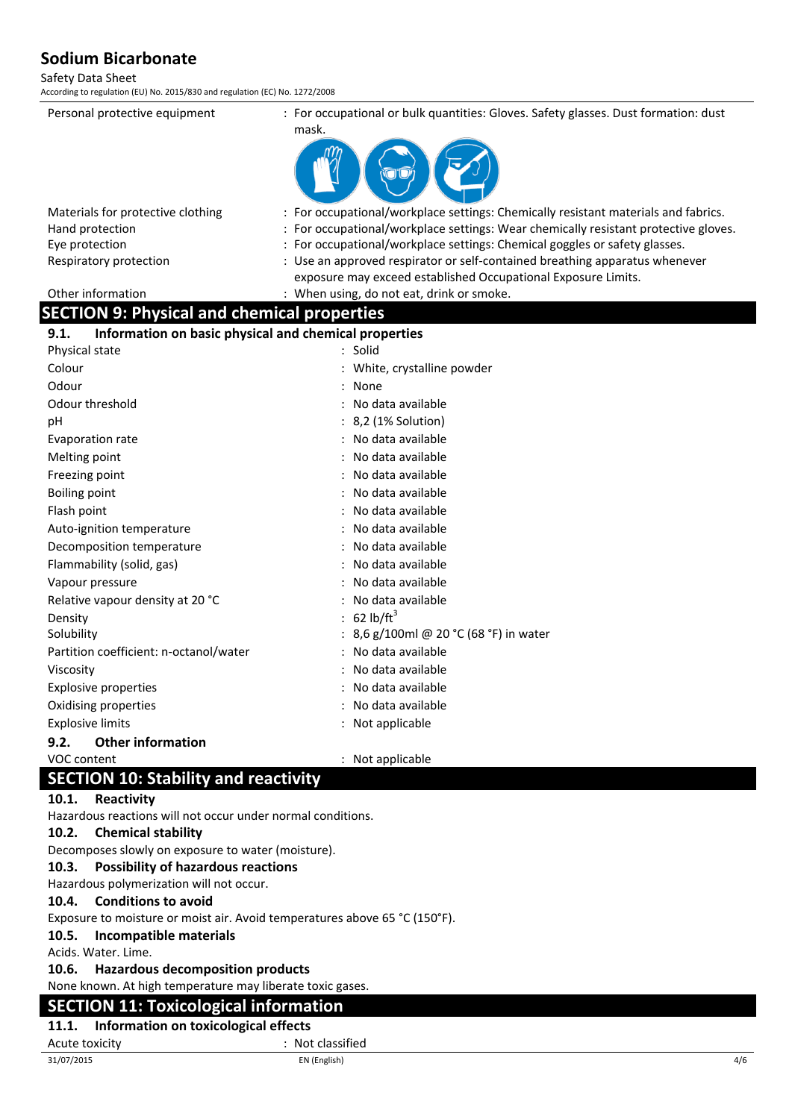#### Safety Data Sheet

According to regulation (EU) No. 2015/830 and regulation (EC) No. 1272/2008

Personal protective equipment : For occupational or bulk quantities: Gloves. Safety glasses. Dust formation: dust mask.



| : For occupational/workplace settings: Chemically resistant materials and fabrics.                                                           |
|----------------------------------------------------------------------------------------------------------------------------------------------|
| : For occupational/workplace settings: Wear chemically resistant protective gloves.                                                          |
| : For occupational/workplace settings: Chemical goggles or safety glasses.                                                                   |
| : Use an approved respirator or self-contained breathing apparatus whenever<br>exposure may exceed established Occupational Exposure Limits. |
| : When using, do not eat, drink or smoke.                                                                                                    |
|                                                                                                                                              |

## **SECTION 9: Physical and chemical properties**

| Information on basic physical and chemical properties<br>9.1. |                                      |
|---------------------------------------------------------------|--------------------------------------|
| Physical state                                                | $:$ Solid                            |
| Colour                                                        | White, crystalline powder            |
| Odour                                                         | None                                 |
| Odour threshold                                               | : No data available                  |
| рH                                                            | : 8,2 (1% Solution)                  |
| Evaporation rate                                              | : No data available                  |
| Melting point                                                 | No data available                    |
| Freezing point                                                | No data available                    |
| <b>Boiling point</b>                                          | No data available                    |
| Flash point                                                   | No data available                    |
| Auto-ignition temperature                                     | No data available                    |
| Decomposition temperature                                     | No data available                    |
| Flammability (solid, gas)                                     | No data available                    |
| Vapour pressure                                               | No data available                    |
| Relative vapour density at 20 °C                              | No data available                    |
| Density                                                       | 62 lb/ $ft^3$                        |
| Solubility                                                    | 8,6 g/100ml @ 20 °C (68 °F) in water |
| Partition coefficient: n-octanol/water                        | No data available                    |
| Viscosity                                                     | No data available                    |
| <b>Explosive properties</b>                                   | No data available                    |
| Oxidising properties                                          | No data available                    |
| <b>Explosive limits</b>                                       | Not applicable                       |
| <b>Other information</b><br>9.2.                              |                                      |
| VOC content                                                   | Not applicable                       |

## **SECTION 10: Stability and reactivity**

#### **10.1. Reactivity**

Hazardous reactions will not occur under normal conditions.

#### **10.2. Chemical stability**

Decomposes slowly on exposure to water (moisture).

#### **10.3. Possibility of hazardous reactions**

Hazardous polymerization will not occur.

#### **10.4. Conditions to avoid**

Exposure to moisture or moist air. Avoid temperatures above 65 °C (150°F).

#### **10.5. Incompatible materials**

Acids. Water. Lime.

#### **10.6. Hazardous decomposition products**

None known. At high temperature may liberate toxic gases.

## **SECTION 11: Toxicological information**

## **11.1. Information on toxicological effects**

Acute toxicity in the contract of the classified in the classified in the classified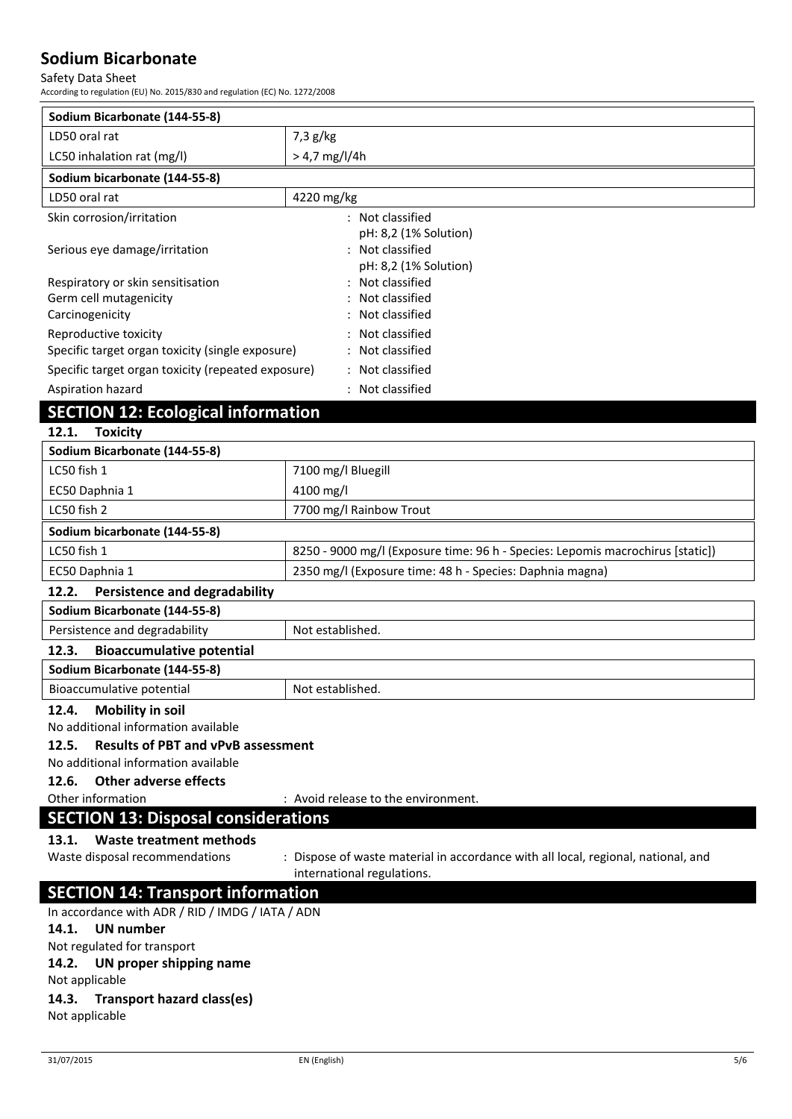#### Safety Data Sheet

According to regulation (EU) No. 2015/830 and regulation (EC) No. 1272/2008

| Sodium Bicarbonate (144-55-8)                      |                                                                                                                 |  |
|----------------------------------------------------|-----------------------------------------------------------------------------------------------------------------|--|
| LD50 oral rat                                      | $7,3$ g/kg                                                                                                      |  |
| LC50 inhalation rat (mg/l)                         | $> 4.7$ mg/l/4h                                                                                                 |  |
| Sodium bicarbonate (144-55-8)                      |                                                                                                                 |  |
| LD50 oral rat                                      | 4220 mg/kg                                                                                                      |  |
| Skin corrosion/irritation                          | : Not classified                                                                                                |  |
| Serious eye damage/irritation                      | pH: 8,2 (1% Solution)<br>: Not classified<br>pH: 8,2 (1% Solution)                                              |  |
| Respiratory or skin sensitisation                  | : Not classified                                                                                                |  |
| Germ cell mutagenicity                             | Not classified                                                                                                  |  |
| Carcinogenicity                                    | Not classified                                                                                                  |  |
| Reproductive toxicity                              | Not classified                                                                                                  |  |
| Specific target organ toxicity (single exposure)   | Not classified                                                                                                  |  |
| Specific target organ toxicity (repeated exposure) | : Not classified                                                                                                |  |
| Aspiration hazard                                  | : Not classified                                                                                                |  |
| <b>SECTION 12: Ecological information</b>          |                                                                                                                 |  |
| 12.1.<br><b>Toxicity</b>                           |                                                                                                                 |  |
| Sodium Bicarbonate (144-55-8)                      |                                                                                                                 |  |
| LC50 fish 1                                        | 7100 mg/l Bluegill                                                                                              |  |
| EC50 Daphnia 1                                     | 4100 mg/l                                                                                                       |  |
| LC50 fish 2                                        | 7700 mg/l Rainbow Trout                                                                                         |  |
| Sodium bicarbonate (144-55-8)                      |                                                                                                                 |  |
| LC50 fish 1                                        | 8250 - 9000 mg/l (Exposure time: 96 h - Species: Lepomis macrochirus [static])                                  |  |
| EC50 Daphnia 1                                     | 2350 mg/l (Exposure time: 48 h - Species: Daphnia magna)                                                        |  |
| 12.2.<br><b>Persistence and degradability</b>      |                                                                                                                 |  |
| Sodium Bicarbonate (144-55-8)                      |                                                                                                                 |  |
| Persistence and degradability                      | Not established.                                                                                                |  |
| 12.3.<br><b>Bioaccumulative potential</b>          |                                                                                                                 |  |
| Sodium Bicarbonate (144-55-8)                      |                                                                                                                 |  |
| Bioaccumulative potential                          | Not established.                                                                                                |  |
| <b>Mobility in soil</b><br>12.4.                   |                                                                                                                 |  |
| No additional information available                |                                                                                                                 |  |
| <b>Results of PBT and vPvB assessment</b><br>12.5. |                                                                                                                 |  |
| No additional information available                |                                                                                                                 |  |
| 12.6.<br><b>Other adverse effects</b>              |                                                                                                                 |  |
| Other information                                  | : Avoid release to the environment.                                                                             |  |
| <b>SECTION 13: Disposal considerations</b>         |                                                                                                                 |  |
| <b>Waste treatment methods</b><br>13.1.            |                                                                                                                 |  |
| Waste disposal recommendations                     | : Dispose of waste material in accordance with all local, regional, national, and<br>international regulations. |  |
| <b>SECTION 14: Transport information</b>           |                                                                                                                 |  |
| In accordance with ADR / RID / IMDG / IATA / ADN   |                                                                                                                 |  |

**14.1. UN number** Not regulated for transport

## **14.2. UN proper shipping name**

Not applicable

### **14.3. Transport hazard class(es)**